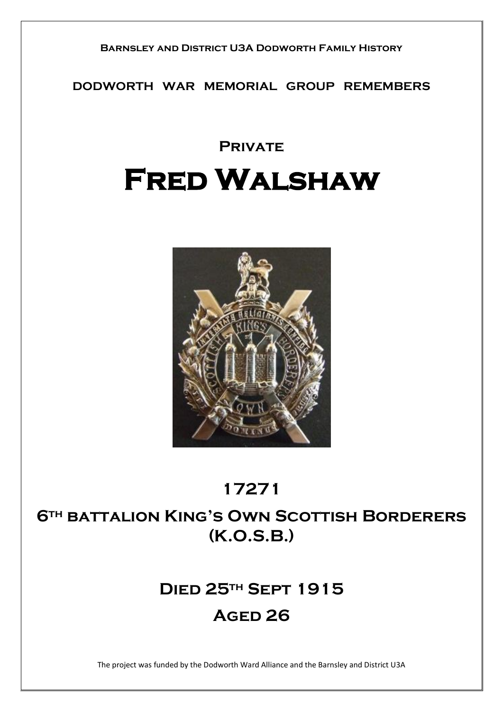

**DODWORTH WAR MEMORIAL GROUP REMEMBERS**

# **PRIVATE Fred Walshaw**



### **17271**

## **6th battalion King's Own Scottish Borderers (K.O.S.B.)**

# **Died 25th Sept 1915 Aged 26**

The project was funded by the Dodworth Ward Alliance and the Barnsley and District U3A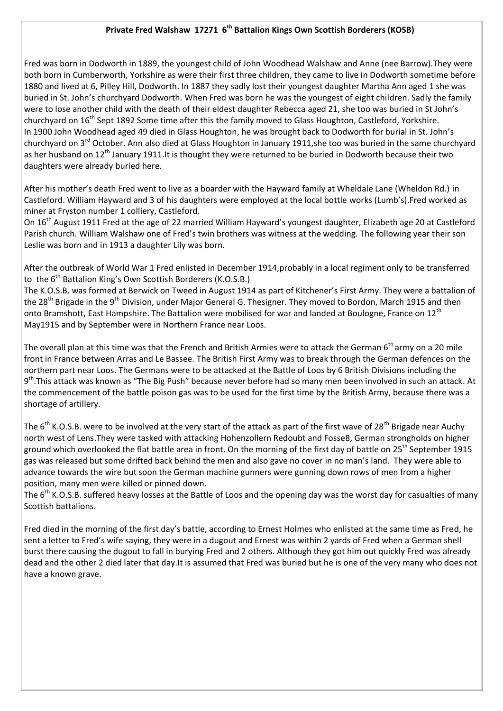### **Private Fred Walshaw 17271 6th Battalion Kings Own Scottish Borderers (KOSB)**

Fred was born in Dodworth in 1889, the youngest child of John Woodhead Walshaw and Anne (nee Barrow).They were both born in Cumberworth, Yorkshire as were their first three children, they came to live in Dodworth sometime before 1880 and lived at 6, Pilley Hill, Dodworth. In 1887 they sadly lost their youngest daughter Martha Ann aged 1 she was buried in St. John's churchyard Dodworth. When Fred was born he was the youngest of eight children. Sadly the family were to lose another child with the death of their eldest daughter Rebecca aged 21, she too was buried in St John's churchyard on 16<sup>th</sup> Sept 1892 Some time after this the family moved to Glass Houghton, Castleford, Yorkshire. In 1900 John Woodhead aged 49 died in Glass Houghton, he was brought back to Dodworth for burial in St. John's churchyard on 3<sup>rd</sup> October. Ann also died at Glass Houghton in January 1911, she too was buried in the same churchyard as her husband on 12<sup>th</sup> January 1911.It is thought they were returned to be buried in Dodworth because their two daughters were already buried here.

After his mother's death Fred went to live as a boarder with the Hayward family at Wheldale Lane (Wheldon Rd.) in Castleford. William Hayward and 3 of his daughters were employed at the local bottle works (Lumb's).Fred worked as miner at Fryston number 1 colliery, Castleford.

On 16<sup>th</sup> August 1911 Fred at the age of 22 married William Hayward's youngest daughter, Elizabeth age 20 at Castleford Parish church. William Walshaw one of Fred's twin brothers was witness at the wedding. The following year their son Leslie was born and in 1913 a daughter Lily was born.

After the outbreak of World War 1 Fred enlisted in December 1914,probably in a local regiment only to be transferred to the 6<sup>th</sup> Battalion King's Own Scottish Borderers (K.O.S.B.)

The K.O.S.B. was formed at Berwick on Tweed in August 1914 as part of Kitchener's First Army. They were a battalion of the 28<sup>th</sup> Brigade in the 9<sup>th</sup> Division, under Major General G. Thesigner. They moved to Bordon, March 1915 and then onto Bramshott, East Hampshire. The Battalion were mobilised for war and landed at Boulogne, France on 12<sup>th</sup> May1915 and by September were in Northern France near Loos.

The overall plan at this time was that the French and British Armies were to attack the German 6<sup>th</sup> army on a 20 mile front in France between Arras and Le Bassee. The British First Army was to break through the German defences on the northern part near Loos. The Germans were to be attacked at the Battle of Loos by 6 British Divisions including the 9<sup>th</sup>.This attack was known as "The Big Push" because never before had so many men been involved in such an attack. At the commencement of the battle poison gas was to be used for the first time by the British Army, because there was a shortage of artillery.

The  $6<sup>th</sup>$  K.O.S.B. were to be involved at the very start of the attack as part of the first wave of 28<sup>th</sup> Brigade near Auchy north west of Lens.They were tasked with attacking Hohenzollern Redoubt and Fosse8, German strongholds on higher ground which overlooked the flat battle area in front. On the morning of the first day of battle on 25<sup>th</sup> September 1915 gas was released but some drifted back behind the men and also gave no cover in no man's land. They were able to advance towards the wire but soon the German machine gunners were gunning down rows of men from a higher position, many men were killed or pinned down.

The  $6<sup>th</sup>$  K.O.S.B. suffered heavy losses at the Battle of Loos and the opening day was the worst day for casualties of many Scottish battalions.

Fred died in the morning of the first day's battle, according to Ernest Holmes who enlisted at the same time as Fred, he sent a letter to Fred's wife saying, they were in a dugout and Ernest was within 2 yards of Fred when a German shell burst there causing the dugout to fall in burying Fred and 2 others. Although they got him out quickly Fred was already dead and the other 2 died later that day.It is assumed that Fred was buried but he is one of the very many who does not have a known grave.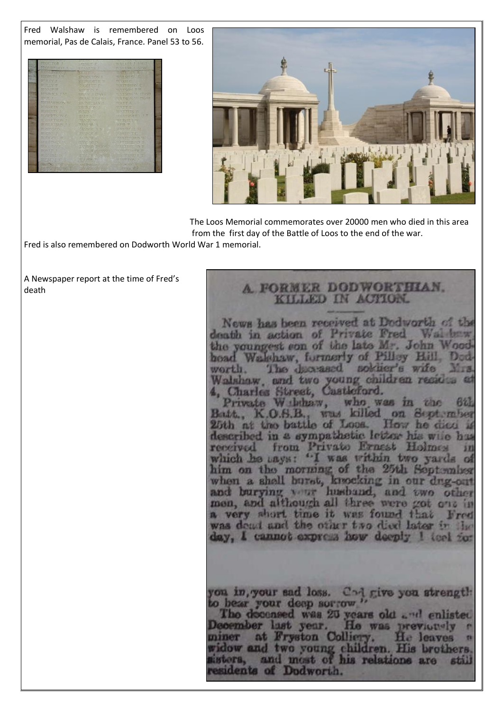Fred Walshaw is remembered on Loos memorial, Pas de Calais, France. Panel 53 to 56.





 The Loos Memorial commemorates over 20000 men who died in this area from the first day of the Battle of Loos to the end of the war.

Fred is also remembered on Dodworth World War 1 memorial.

A Newspaper report at the time of Fred's death

#### A FORMER DODWORTHIAN. KILLED IN ACTION. News has been received at Dodworth of the death in action of Private Fred Wal box the youngest con of the late Mr. John Wood hoad Wakhaw, formerly of Pilley Hill, The daceased sokier's wife worth. Walshaw, and two young children resides at Charles Street, Castleford.<br>Private Wikhaw, who was in the 62 Batt., K.O.S.B., was killed on September How he died is 25th at the battle of Loos. described in a sympathetic letter his wife has received from Privato Ernest Holmes which he anys: "I was within two yards of him on the morning of the 25th September when a shell burst, knocking in our dug-out men, and although all three were got one in a very short time it was found that Fred was don't and the other two died later in the day, I cannot express how deeply I teel for you in, your sad loss. Cod give you strength: to bear your deep sorrow The docensed was 20 years old and enlisted December last year. He was previously at Fryston Colliery. He leaves idow and two young children. His brothers, and most of his relations are astora, **stall** esidents of Dodworth.